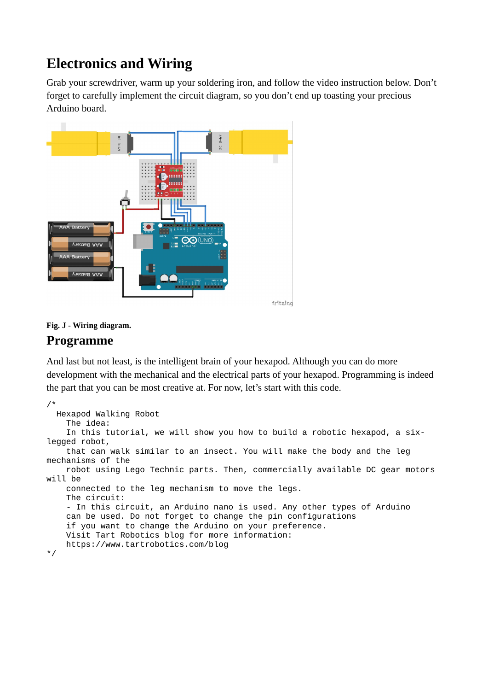## **Electronics and Wiring**

Grab your screwdriver, warm up your soldering iron, and follow the video instruction below. Don't forget to carefully implement the circuit diagram, so you don't end up toasting your precious Arduino board.



**Fig. J - Wiring diagram.**

## **Programme**

And last but not least, is the intelligent brain of your hexapod. Although you can do more development with the mechanical and the electrical parts of your hexapod. Programming is indeed the part that you can be most creative at. For now, let's start with this code.

```
/*
  Hexapod Walking Robot
     The idea:
     In this tutorial, we will show you how to build a robotic hexapod, a six-
legged robot,
     that can walk similar to an insect. You will make the body and the leg 
mechanisms of the
     robot using Lego Technic parts. Then, commercially available DC gear motors 
will be
     connected to the leg mechanism to move the legs.
     The circuit:
     - In this circuit, an Arduino nano is used. Any other types of Arduino
     can be used. Do not forget to change the pin configurations
     if you want to change the Arduino on your preference.
     Visit Tart Robotics blog for more information:
     https://www.tartrobotics.com/blog
*/
```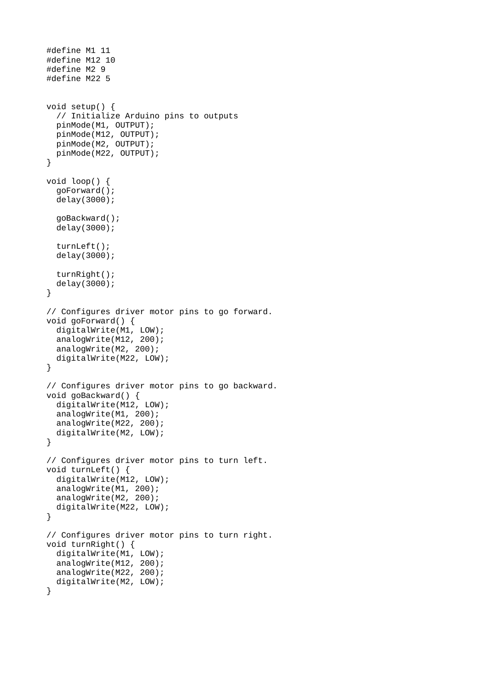```
#define M1 11
#define M12 10
#define M2 9
#define M22 5 
void setup() {
   // Initialize Arduino pins to outputs
   pinMode(M1, OUTPUT);
 pinMode(M12, OUTPUT);
 pinMode(M2, OUTPUT);
   pinMode(M22, OUTPUT);
}
void loop() {
   goForward();
   delay(3000);
   goBackward();
   delay(3000);
   turnLeft();
   delay(3000);
   turnRight();
   delay(3000);
}
// Configures driver motor pins to go forward.
void goForward() {
   digitalWrite(M1, LOW);
   analogWrite(M12, 200);
   analogWrite(M2, 200);
   digitalWrite(M22, LOW);
}
// Configures driver motor pins to go backward.
void goBackward() {
   digitalWrite(M12, LOW);
   analogWrite(M1, 200);
  analogWrite(M22, 200);
   digitalWrite(M2, LOW);
}
// Configures driver motor pins to turn left.
void turnLeft() {
   digitalWrite(M12, LOW);
   analogWrite(M1, 200);
   analogWrite(M2, 200);
   digitalWrite(M22, LOW);
}
// Configures driver motor pins to turn right.
void turnRight() {
   digitalWrite(M1, LOW);
   analogWrite(M12, 200);
   analogWrite(M22, 200);
   digitalWrite(M2, LOW);
}
```